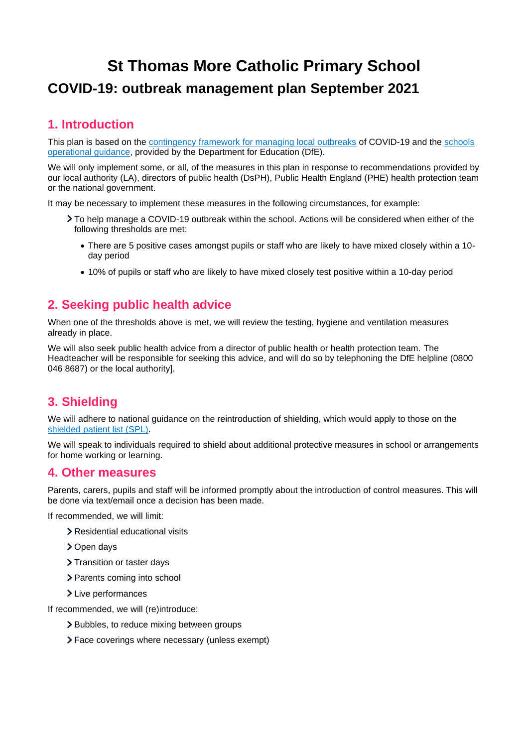# **St Thomas More Catholic Primary School COVID-19: outbreak management plan September 2021**

## **1. Introduction**

This plan is based on the [contingency framework for managing local outbreaks](https://www.gov.uk/government/publications/coronavirus-covid-19-local-restrictions-in-education-and-childcare-settings) of COVID-19 and the [schools](https://www.gov.uk/government/publications/actions-for-schools-during-the-coronavirus-outbreak)  [operational guidance,](https://www.gov.uk/government/publications/actions-for-schools-during-the-coronavirus-outbreak) provided by the Department for Education (DfE).

We will only implement some, or all, of the measures in this plan in response to recommendations provided by our local authority (LA), directors of public health (DsPH), Public Health England (PHE) health protection team or the national government.

It may be necessary to implement these measures in the following circumstances, for example:

- To help manage a COVID-19 outbreak within the school. Actions will be considered when either of the following thresholds are met:
	- There are 5 positive cases amongst pupils or staff who are likely to have mixed closely within a 10 day period
	- 10% of pupils or staff who are likely to have mixed closely test positive within a 10-day period

### **2. Seeking public health advice**

When one of the thresholds above is met, we will review the testing, hygiene and ventilation measures already in place.

We will also seek public health advice from a director of public health or health protection team. The Headteacher will be responsible for seeking this advice, and will do so by telephoning the DfE helpline (0800 046 8687) or the local authority].

### **3. Shielding**

We will adhere to national guidance on the reintroduction of shielding, which would apply to those on the shielded [patient list \(SPL\).](https://digital.nhs.uk/coronavirus/shielded-patient-list)

We will speak to individuals required to shield about additional protective measures in school or arrangements for home working or learning.

#### **4. Other measures**

Parents, carers, pupils and staff will be informed promptly about the introduction of control measures. This will be done via text/email once a decision has been made.

If recommended, we will limit:

- > Residential educational visits
- > Open days
- > Transition or taster days
- > Parents coming into school
- > Live performances

If recommended, we will (re)introduce:

- > Bubbles, to reduce mixing between groups
- Face coverings where necessary (unless exempt)